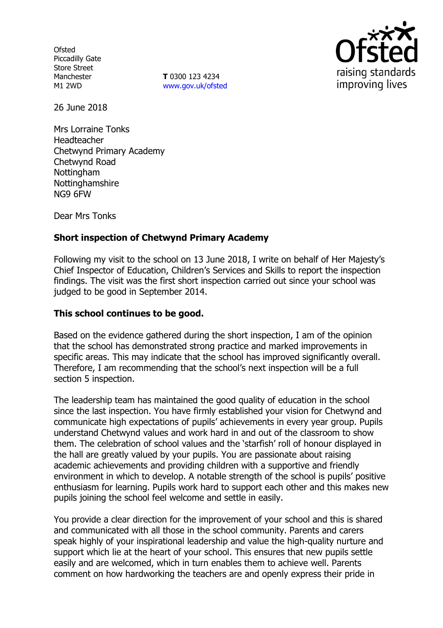**Ofsted** Piccadilly Gate Store Street Manchester M1 2WD

**T** 0300 123 4234 www.gov.uk/ofsted



26 June 2018

Mrs Lorraine Tonks Headteacher Chetwynd Primary Academy Chetwynd Road Nottingham Nottinghamshire NG9 6FW

Dear Mrs Tonks

# **Short inspection of Chetwynd Primary Academy**

Following my visit to the school on 13 June 2018, I write on behalf of Her Majesty's Chief Inspector of Education, Children's Services and Skills to report the inspection findings. The visit was the first short inspection carried out since your school was judged to be good in September 2014.

### **This school continues to be good.**

Based on the evidence gathered during the short inspection, I am of the opinion that the school has demonstrated strong practice and marked improvements in specific areas. This may indicate that the school has improved significantly overall. Therefore, I am recommending that the school's next inspection will be a full section 5 inspection.

The leadership team has maintained the good quality of education in the school since the last inspection. You have firmly established your vision for Chetwynd and communicate high expectations of pupils' achievements in every year group. Pupils understand Chetwynd values and work hard in and out of the classroom to show them. The celebration of school values and the 'starfish' roll of honour displayed in the hall are greatly valued by your pupils. You are passionate about raising academic achievements and providing children with a supportive and friendly environment in which to develop. A notable strength of the school is pupils' positive enthusiasm for learning. Pupils work hard to support each other and this makes new pupils joining the school feel welcome and settle in easily.

You provide a clear direction for the improvement of your school and this is shared and communicated with all those in the school community. Parents and carers speak highly of your inspirational leadership and value the high-quality nurture and support which lie at the heart of your school. This ensures that new pupils settle easily and are welcomed, which in turn enables them to achieve well. Parents comment on how hardworking the teachers are and openly express their pride in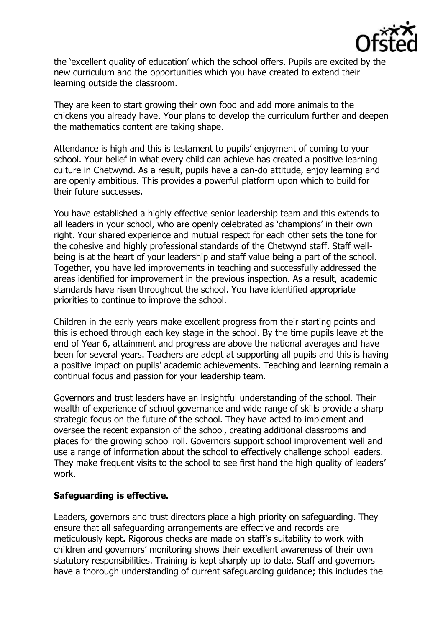

the 'excellent quality of education' which the school offers. Pupils are excited by the new curriculum and the opportunities which you have created to extend their learning outside the classroom.

They are keen to start growing their own food and add more animals to the chickens you already have. Your plans to develop the curriculum further and deepen the mathematics content are taking shape.

Attendance is high and this is testament to pupils' enjoyment of coming to your school. Your belief in what every child can achieve has created a positive learning culture in Chetwynd. As a result, pupils have a can-do attitude, enjoy learning and are openly ambitious. This provides a powerful platform upon which to build for their future successes.

You have established a highly effective senior leadership team and this extends to all leaders in your school, who are openly celebrated as 'champions' in their own right. Your shared experience and mutual respect for each other sets the tone for the cohesive and highly professional standards of the Chetwynd staff. Staff wellbeing is at the heart of your leadership and staff value being a part of the school. Together, you have led improvements in teaching and successfully addressed the areas identified for improvement in the previous inspection. As a result, academic standards have risen throughout the school. You have identified appropriate priorities to continue to improve the school.

Children in the early years make excellent progress from their starting points and this is echoed through each key stage in the school. By the time pupils leave at the end of Year 6, attainment and progress are above the national averages and have been for several years. Teachers are adept at supporting all pupils and this is having a positive impact on pupils' academic achievements. Teaching and learning remain a continual focus and passion for your leadership team.

Governors and trust leaders have an insightful understanding of the school. Their wealth of experience of school governance and wide range of skills provide a sharp strategic focus on the future of the school. They have acted to implement and oversee the recent expansion of the school, creating additional classrooms and places for the growing school roll. Governors support school improvement well and use a range of information about the school to effectively challenge school leaders. They make frequent visits to the school to see first hand the high quality of leaders' work.

### **Safeguarding is effective.**

Leaders, governors and trust directors place a high priority on safeguarding. They ensure that all safeguarding arrangements are effective and records are meticulously kept. Rigorous checks are made on staff's suitability to work with children and governors' monitoring shows their excellent awareness of their own statutory responsibilities. Training is kept sharply up to date. Staff and governors have a thorough understanding of current safeguarding guidance; this includes the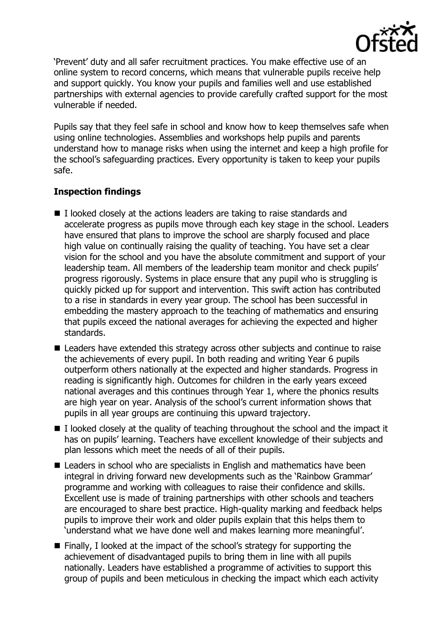

'Prevent' duty and all safer recruitment practices. You make effective use of an online system to record concerns, which means that vulnerable pupils receive help and support quickly. You know your pupils and families well and use established partnerships with external agencies to provide carefully crafted support for the most vulnerable if needed.

Pupils say that they feel safe in school and know how to keep themselves safe when using online technologies. Assemblies and workshops help pupils and parents understand how to manage risks when using the internet and keep a high profile for the school's safeguarding practices. Every opportunity is taken to keep your pupils safe.

# **Inspection findings**

- $\blacksquare$  I looked closely at the actions leaders are taking to raise standards and accelerate progress as pupils move through each key stage in the school. Leaders have ensured that plans to improve the school are sharply focused and place high value on continually raising the quality of teaching. You have set a clear vision for the school and you have the absolute commitment and support of your leadership team. All members of the leadership team monitor and check pupils' progress rigorously. Systems in place ensure that any pupil who is struggling is quickly picked up for support and intervention. This swift action has contributed to a rise in standards in every year group. The school has been successful in embedding the mastery approach to the teaching of mathematics and ensuring that pupils exceed the national averages for achieving the expected and higher standards.
- Leaders have extended this strategy across other subjects and continue to raise the achievements of every pupil. In both reading and writing Year 6 pupils outperform others nationally at the expected and higher standards. Progress in reading is significantly high. Outcomes for children in the early years exceed national averages and this continues through Year 1, where the phonics results are high year on year. Analysis of the school's current information shows that pupils in all year groups are continuing this upward trajectory.
- $\blacksquare$  I looked closely at the quality of teaching throughout the school and the impact it has on pupils' learning. Teachers have excellent knowledge of their subjects and plan lessons which meet the needs of all of their pupils.
- Leaders in school who are specialists in English and mathematics have been integral in driving forward new developments such as the 'Rainbow Grammar' programme and working with colleagues to raise their confidence and skills. Excellent use is made of training partnerships with other schools and teachers are encouraged to share best practice. High-quality marking and feedback helps pupils to improve their work and older pupils explain that this helps them to 'understand what we have done well and makes learning more meaningful'.
- $\blacksquare$  Finally, I looked at the impact of the school's strategy for supporting the achievement of disadvantaged pupils to bring them in line with all pupils nationally. Leaders have established a programme of activities to support this group of pupils and been meticulous in checking the impact which each activity